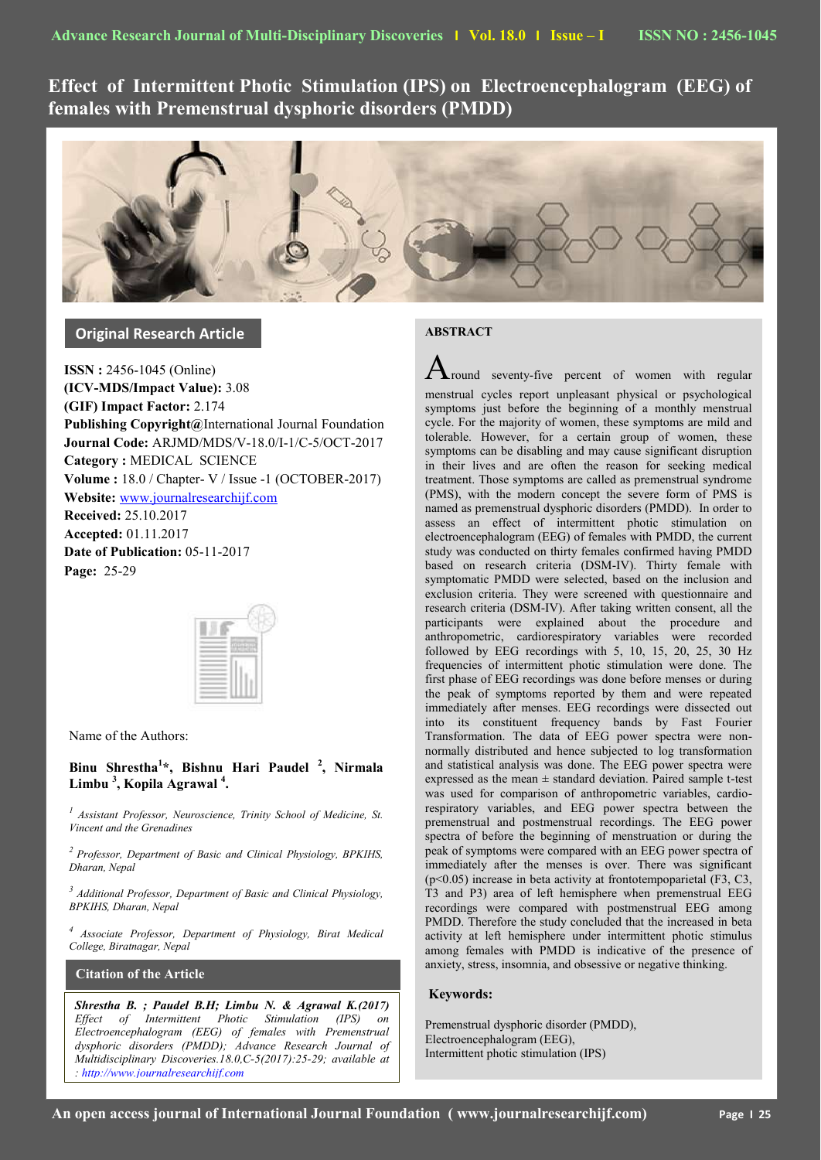**Effect of Intermittent Photic Stimulation (IPS) on Electroencephalogram (EEG) of females with Premenstrual dysphoric disorders (PMDD)**



**Original Research Article**

**ISSN :** 2456-1045 (Online) **(ICV-MDS/Impact Value):** 3.08 **(GIF) Impact Factor:** 2.174 **Publishing Copyright@**International Journal Foundation **Journal Code:** ARJMD/MDS/V-18.0/I-1/C-5/OCT-2017 **Category :** MEDICAL SCIENCE **Volume :** 18.0 / Chapter- V / Issue -1 (OCTOBER-2017) **Website:** [www.journalresearchijf.com](http://www.journalresearchijf.com/) **Received:** 25.10.2017 **Accepted:** 01.11.2017 **Date of Publication:** 05-11-2017

**Page:** 25-29

|  | ÷ |
|--|---|
|  |   |
|  |   |
|  |   |
|  |   |
|  |   |
|  |   |
|  |   |
|  |   |
|  |   |

Name of the Authors:

**Binu Shrestha<sup>1</sup> \*, Bishnu Hari Paudel <sup>2</sup> , Nirmala Limbu <sup>3</sup> , Kopila Agrawal <sup>4</sup> .**

<sup>1</sup> Assistant Professor, Neuroscience, Trinity School of Medicine, St. *Vincent and the Grenadines*

*<sup>2</sup>Professor, Department of Basic and Clinical Physiology, BPKIHS, Dharan, Nepal*

*3 Additional Professor, Department of Basic and Clinical Physiology, BPKIHS, Dharan, Nepal*

*4 Associate Professor, Department of Physiology, Birat Medical College, Biratnagar, Nepal*

**Citation of the Article**

**e;**

*Shrestha B. ; Paudel B.H; Limbu N. & Agrawal K.(2017) Effect of Intermittent Photic Stimulation (IPS) on Electroencephalogram (EEG) of females with Premenstrual dysphoric disorders (PMDD); Advance Research Journal of Multidisciplinary Discoveries.18.0,C-5(2017):25-29; available at [: http://www.journalresearchijf.com](http://www.journalresearchijf.com/)*

# **ABSTRACT**

 $\mathbf A$ round seventy-five percent of women with regular menstrual cycles report unpleasant physical or psychological symptoms just before the beginning of a monthly menstrual cycle. For the majority of women, these symptoms are mild and tolerable. However, for a certain group of women, these symptoms can be disabling and may cause significant disruption in their lives and are often the reason for seeking medical treatment. Those symptoms are called as premenstrual syndrome (PMS), with the modern concept the severe form of PMS is named as premenstrual dysphoric disorders (PMDD). In order to assess an effect of intermittent photic stimulation on electroencephalogram (EEG) of females with PMDD, the current study was conducted on thirty females confirmed having PMDD based on research criteria (DSM-IV). Thirty female with symptomatic PMDD were selected, based on the inclusion and exclusion criteria. They were screened with questionnaire and research criteria (DSM-IV). After taking written consent, all the participants were explained about the procedure and anthropometric, cardiorespiratory variables were recorded followed by EEG recordings with 5, 10, 15, 20, 25, 30 Hz frequencies of intermittent photic stimulation were done. The first phase of EEG recordings was done before menses or during the peak of symptoms reported by them and were repeated immediately after menses. EEG recordings were dissected out into its constituent frequency bands by Fast Fourier Transformation. The data of EEG power spectra were nonnormally distributed and hence subjected to log transformation and statistical analysis was done. The EEG power spectra were expressed as the mean  $\pm$  standard deviation. Paired sample t-test was used for comparison of anthropometric variables, cardiorespiratory variables, and EEG power spectra between the premenstrual and postmenstrual recordings. The EEG power spectra of before the beginning of menstruation or during the peak of symptoms were compared with an EEG power spectra of immediately after the menses is over. There was significant (p<0.05) increase in beta activity at frontotempoparietal (F3, C3, T3 and P3) area of left hemisphere when premenstrual EEG recordings were compared with postmenstrual EEG among PMDD. Therefore the study concluded that the increased in beta activity at left hemisphere under intermittent photic stimulus among females with PMDD is indicative of the presence of anxiety, stress, insomnia, and obsessive or negative thinking.

# **Keywords:**

Premenstrual dysphoric disorder (PMDD), Electroencephalogram (EEG), Intermittent photic stimulation (IPS)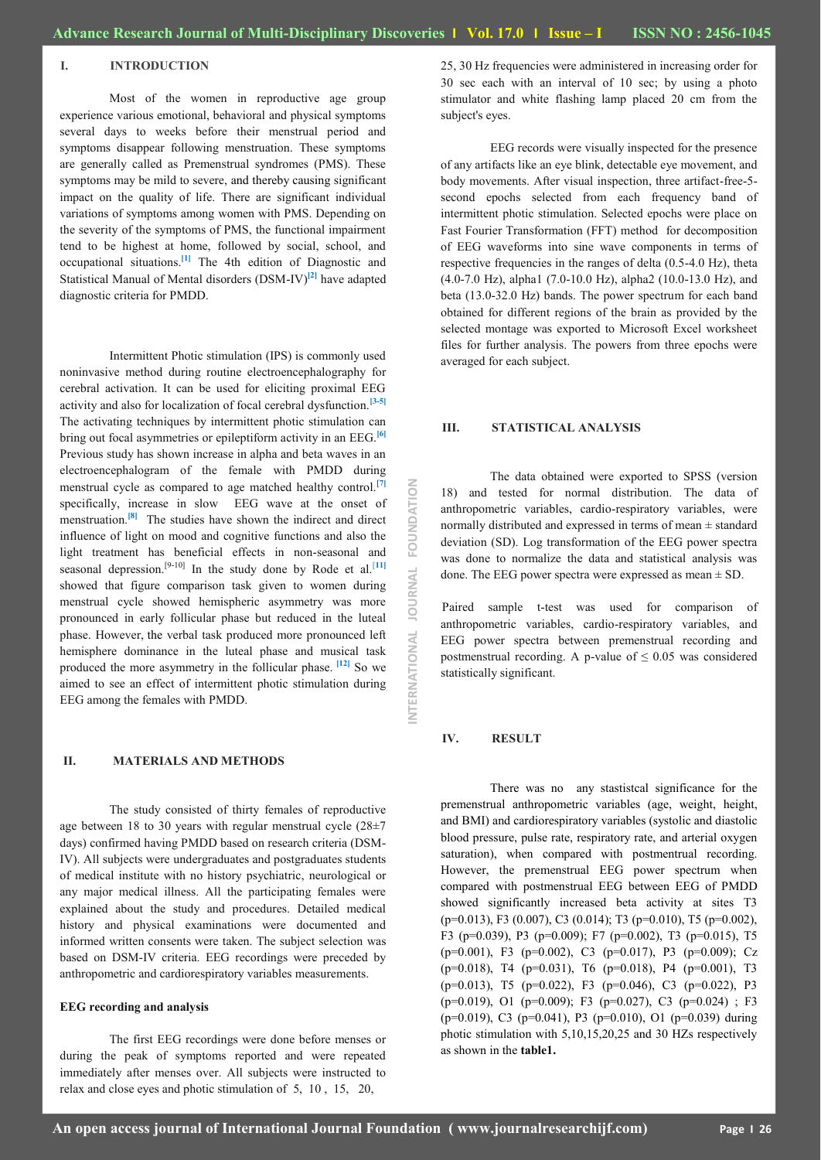#### **I. INTRODUCTION**

Most of the women in reproductive age group experience various emotional, behavioral and physical symptoms several days to weeks before their menstrual period and symptoms disappear following menstruation. These symptoms are generally called as Premenstrual syndromes (PMS). These symptoms may be mild to severe, and thereby causing significant impact on the quality of life. There are significant individual variations of symptoms among women with PMS. Depending on the severity of the symptoms of PMS, the functional impairment tend to be highest at home, followed by social, school, and occupational situations.**[1]** The 4th edition of Diagnostic and Statistical Manual of Mental disorders (DSM-IV)**[2]** have adapted diagnostic criteria for PMDD.

Intermittent Photic stimulation (IPS) is commonly used noninvasive method during routine electroencephalography for cerebral activation. It can be used for eliciting proximal EEG activity and also for localization of focal cerebral dysfunction.**[3-5]** The activating techniques by intermittent photic stimulation can bring out focal asymmetries or epileptiform activity in an EEG.**[6]** Previous study has shown increase in alpha and beta waves in an electroencephalogram of the female with PMDD during menstrual cycle as compared to age matched healthy control.[**7]** specifically, increase in slow EEG wave at the onset of menstruation.**[8]** The studies have shown the indirect and direct influence of light on mood and cognitive functions and also the light treatment has beneficial effects in non-seasonal and seasonal depression.<sup>[9-10]</sup> In the study done by Rode et al.<sup>[11]</sup> showed that figure comparison task given to women during menstrual cycle showed hemispheric asymmetry was more pronounced in early follicular phase but reduced in the luteal phase. However, the verbal task produced more pronounced left hemisphere dominance in the luteal phase and musical task produced the more asymmetry in the follicular phase. **[12]** So we aimed to see an effect of intermittent photic stimulation during EEG among the females with PMDD.

## **II. MATERIALS AND METHODS**

The study consisted of thirty females of reproductive age between 18 to 30 years with regular menstrual cycle (28±7 days) confirmed having PMDD based on research criteria (DSM-IV). All subjects were undergraduates and postgraduates students of medical institute with no history psychiatric, neurological or any major medical illness. All the participating females were explained about the study and procedures. Detailed medical history and physical examinations were documented and informed written consents were taken. The subject selection was based on DSM-IV criteria. EEG recordings were preceded by anthropometric and cardiorespiratory variables measurements.

#### **EEG recording and analysis**

The first EEG recordings were done before menses or during the peak of symptoms reported and were repeated immediately after menses over. All subjects were instructed to relax and close eyes and photic stimulation of 5, 10 , 15, 20,

25, 30 Hz frequencies were administered in increasing order for 30 sec each with an interval of 10 sec; by using a photo stimulator and white flashing lamp placed 20 cm from the subject's eyes.

EEG records were visually inspected for the presence of any artifacts like an eye blink, detectable eye movement, and body movements. After visual inspection, three artifact-free-5 second epochs selected from each frequency band of intermittent photic stimulation. Selected epochs were place on Fast Fourier Transformation (FFT) method for decomposition of EEG waveforms into sine wave components in terms of respective frequencies in the ranges of delta (0.5-4.0 Hz), theta (4.0-7.0 Hz), alpha1 (7.0-10.0 Hz), alpha2 (10.0-13.0 Hz), and beta (13.0-32.0 Hz) bands. The power spectrum for each band obtained for different regions of the brain as provided by the selected montage was exported to Microsoft Excel worksheet files for further analysis. The powers from three epochs were averaged for each subject.

#### **III. STATISTICAL ANALYSIS**

The data obtained were exported to SPSS (version 18) and tested for normal distribution. The data of anthropometric variables, cardio-respiratory variables, were normally distributed and expressed in terms of mean ± standard deviation (SD). Log transformation of the EEG power spectra was done to normalize the data and statistical analysis was done. The EEG power spectra were expressed as mean  $\pm$  SD.

Paired sample t-test was used for comparison of anthropometric variables, cardio-respiratory variables, and EEG power spectra between premenstrual recording and postmenstrual recording. A p-value of  $\leq 0.05$  was considered statistically significant.

# **IV. RESULT**

**INTERNATIONAL JOURNAL FOUNDATION**

**JANRUNAL** 

INTERNATIONAL

FOUNDATION

There was no any stastistcal significance for the premenstrual anthropometric variables (age, weight, height, and BMI) and cardiorespiratory variables (systolic and diastolic blood pressure, pulse rate, respiratory rate, and arterial oxygen saturation), when compared with postmentrual recording. However, the premenstrual EEG power spectrum when compared with postmenstrual EEG between EEG of PMDD showed significantly increased beta activity at sites T3 (p=0.013), F3 (0.007), C3 (0.014); T3 (p=0.010), T5 (p=0.002), F3 (p=0.039), P3 (p=0.009); F7 (p=0.002), T3 (p=0.015), T5 (p=0.001), F3 (p=0.002), C3 (p=0.017), P3 (p=0.009); Cz (p=0.018), T4 (p=0.031), T6 (p=0.018), P4 (p=0.001), T3 (p=0.013), T5 (p=0.022), F3 (p=0.046), C3 (p=0.022), P3  $(p=0.019)$ , O1  $(p=0.009)$ ; F3  $(p=0.027)$ , C3  $(p=0.024)$ ; F3 (p=0.019), C3 (p=0.041), P3 (p=0.010), O1 (p=0.039) during photic stimulation with 5,10,15,20,25 and 30 HZs respectively as shown in the **table1.**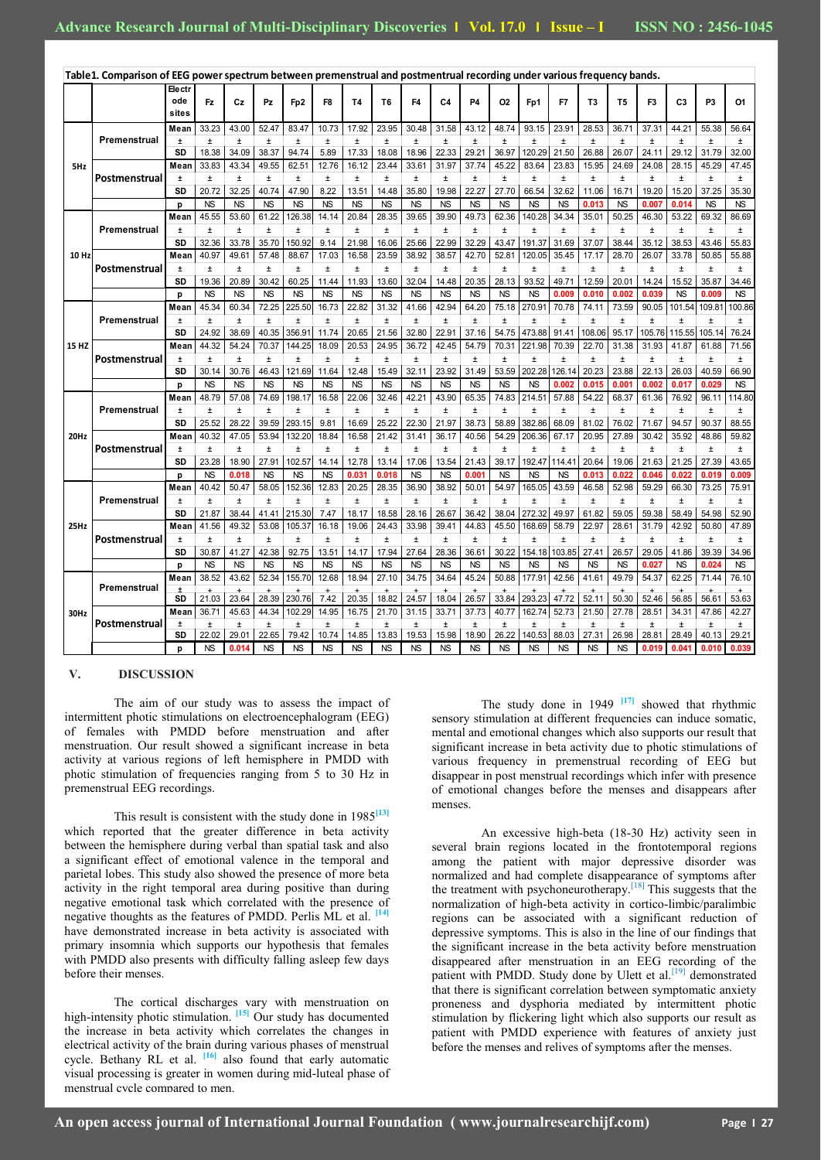|       | Table1. Comparison of EEG power spectrum between premenstrual and postmentrual recording under various frequency bands. |               |                    |                |                    |                     |                    |                         |                         |                    |                    |                |                    |                            |                |                |                          |                |                 |                 |                 |
|-------|-------------------------------------------------------------------------------------------------------------------------|---------------|--------------------|----------------|--------------------|---------------------|--------------------|-------------------------|-------------------------|--------------------|--------------------|----------------|--------------------|----------------------------|----------------|----------------|--------------------------|----------------|-----------------|-----------------|-----------------|
|       |                                                                                                                         | <b>Electr</b> |                    |                |                    |                     |                    |                         |                         |                    |                    |                |                    |                            |                |                |                          |                |                 |                 |                 |
|       |                                                                                                                         | ode           | Fz                 | Сz             | Pz                 | Fp <sub>2</sub>     | F <sub>8</sub>     | T4                      | T <sub>6</sub>          | F <sub>4</sub>     | C4                 | <b>P4</b>      | <b>O2</b>          | Fp1                        | F7             | T <sub>3</sub> | T <sub>5</sub>           | F <sub>3</sub> | C <sub>3</sub>  | P <sub>3</sub>  | 01              |
|       |                                                                                                                         | sites         |                    |                |                    |                     |                    |                         |                         |                    |                    |                |                    |                            |                |                |                          |                |                 |                 |                 |
| 5Hz   | Premenstrual                                                                                                            | Mean          | 33.23              | 43.00          | 52.47              | 83.47               | 10.73              | 17.92                   | 23.95                   | 30.48              | 31.58              | 43.12          | 48.74              | 93.15                      | 23.91          | 28.53          | 36.71                    | 37.31          | 44.21           | 55.38           | 56.64           |
|       |                                                                                                                         | $\pm$<br>SD   | $\pm$              | $\pm$<br>34.09 | $\pm$              | $\pm$<br>94.74      | $\pm$              | $\pm$                   | $\pm$                   | $\pm$              | $\pm$              | $\pm$<br>29.21 | $\pm$              | $\pm$                      | $\pm$          | $\pm$          | $\pm$                    | $\pm$          | $\pm$           | $\pm$           | $\pm$           |
|       |                                                                                                                         | Mean          | 18.38<br>33.83     | 43.34          | 38.37<br>49.55     | 62.51               | 5.89<br>12.76      | 17.33<br>16.12          | 18.08<br>23.44          | 18.96<br>33.61     | 22.33<br>31.97     | 37.74          | 36.97<br>45.22     | 120.29<br>83.64            | 21.50<br>23.83 | 26.88<br>15.95 | 26.07<br>24.69           | 24.11<br>24.08 | 29.12<br>28.15  | 31.79<br>45.29  | 32.00<br>47.45  |
|       | Postmenstrual                                                                                                           | $\pm$         | $\pm$              | $\pm$          | $\pm$              | $\pm$               | $\pm$              | $\pm$                   | $\pm$                   | $\pm$              | $\pm$              | $\pm$          | $\pm$              | $\pm$                      | $\pm$          | $\pm$          | $\pm$                    | $\pm$          | $\pm$           | $\pm$           | $\pm$           |
|       |                                                                                                                         | SD            | 20.72              | 32.25          | 40.74              | 47.90               | 8.22               | 13.51                   | 14.48                   | 35.80              | 19.98              | 22.27          | 27.70              | 66.54                      | 32.62          | 11.06          | 16.71                    | 19.20          | 15.20           | 37.25           | 35.30           |
|       |                                                                                                                         | p             | N <sub>S</sub>     | <b>NS</b>      | <b>NS</b>          | <b>NS</b>           | <b>NS</b>          | <b>NS</b>               | <b>NS</b>               | <b>NS</b>          | <b>NS</b>          | <b>NS</b>      | <b>NS</b>          | <b>NS</b>                  | <b>NS</b>      | 0.013          | <b>NS</b>                | 0.007          | 0.014           | <b>NS</b>       | <b>NS</b>       |
|       |                                                                                                                         | Mean          | 45.55              | 53.60          | 61.22              | 126.38              | 14.14              | 20.84                   | 28.35                   | 39.65              | 39.90              | 49.73          | 62.36              | 140.28                     | 34.34          | 35.01          | 50.25                    | 46.30          | 53.22           | 69.32           | 86.69           |
|       | Premenstrual                                                                                                            | $\pm$         | $\pm$              | $\pm$          | $\pm$              | $\pm$               | $\pm$              | $\pm$                   | $\pm$                   | $\pm$              | $\pm$              | $\pm$          | $\pm$              | $\pm$                      | $\pm$          | $\pm$          | $\pm$                    | $\pm$          | $\pm$           | $\pm$           | $\pm$           |
|       |                                                                                                                         | SD            | 32.36              | 33.78          | 35.70              | 150.92              | 9.14               | 21.98                   | 16.06                   | 25.66              | 22.99              | 32.29          | 43.47              | 191.37                     | 31.69          | 37.07          | 38.44                    | 35.12          | 38.53           | 43.46           | 55.83           |
| 10 Hz |                                                                                                                         | Mean          | 40.97              | 49.61          | 57.48              | 88.67               | 17.03              | 16.58                   | 23.59                   | 38.92              | 38.57              | 42.70          | 52.81              | 120.05                     | 35.45          | 17.17          | 28.70                    | 26.07          | 33.78           | 50.85           | 55.88           |
|       | Postmenstrual                                                                                                           | $\pm$         | $\pm$              | $\pm$          | $\pm$              | $\pm$               | $\pm$              | $\pm$                   | $\pm$                   | $\pm$              | $\pm$              | $\pm$          | $\pm$              | $\pm$                      | $\pm$          | $\pm$          | $\pm$                    | $\pm$          | $\pm$           | $\pm$           | $\pm$           |
|       |                                                                                                                         | SD            | 19.36              | 20.89          | 30.42              | 60.25               | 11.44              | 11.93                   | 13.60                   | 32.04              | 14.48              | 20.35          | 28.13              | 93.52                      | 49.71          | 12.59          | 20.01                    | 14.24          | 15.52           | 35.87           | 34.46           |
|       |                                                                                                                         | p             | <b>NS</b>          | <b>NS</b>      | <b>NS</b>          | <b>NS</b>           | <b>NS</b>          | <b>NS</b>               | <b>NS</b>               | <b>NS</b>          | <b>NS</b>          | <b>NS</b>      | <b>NS</b>          | <b>NS</b>                  | 0.009          | 0.010          | 0.002                    | 0.039          | <b>NS</b>       | 0.009           | <b>NS</b>       |
|       | Premenstrual                                                                                                            | Mean<br>Ŧ     | 45.34<br>$\pm$     | 60.34<br>$\pm$ | 72.25<br>$\pm$     | 225.50<br>$\pm$     | 16.73<br>$\pm$     | 22.82<br>$\pm$          | 31.32<br>$\pm$          | 41.66<br>$\pm$     | 42.94<br>$\pm$     | 64.20<br>$\pm$ | 75.18<br>$\pm$     | 270.91<br>$\pm$            | 70.78<br>$\pm$ | 74.11<br>$\pm$ | 73.59<br>$\pm$           | 90.05<br>$\pm$ | 101.54<br>$\pm$ | 109.81<br>$\pm$ | 100.86<br>$\pm$ |
|       |                                                                                                                         | SD            | 24.92              | 38.69          | 40.35              | 356.91              | 11.74              | 20.65                   | 21.56                   | 32.80              | 22.91              | 37.16          | 54.75              | 473.88                     | 91.41          | 108.06         | 95.17                    | 105.76         | 115.55          | 105.14          | 76.24           |
| 15 HZ |                                                                                                                         | Mean          | 44.32              | 54.24          | 70.37              | 144.25              | 18.09              | 20.53                   | 24.95                   | 36.72              | 42.45              | 54.79          | 70.31              | 221.98                     | 70.39          | 22.70          | 31.38                    | 31.93          | 41.87           | 61.88           | 71.56           |
|       | Postmenstrual                                                                                                           | Ŧ             | $\pm$              | $\pm$          | $\pm$              | $\pm$               | $\pm$              | $\pm$                   | $\pm$                   | $\pm$              | $\pm$              | $\pm$          | $\pm$              | $\pm$                      | $\pm$          | $\pm$          | $\pm$                    | $\pm$          | $\pm$           | $\pm$           | $\pm$           |
|       |                                                                                                                         | SD            | 30.14              | 30.76          | 46.43              | 121.69              | 11.64              | 12.48                   | 15.49                   | 32.11              | 23.92              | 31.49          | 53.59              | 202.28                     | 126.14         | 20.23          | 23.88                    | 22.13          | 26.03           | 40.59           | 66.90           |
|       |                                                                                                                         | p             | <b>NS</b>          | <b>NS</b>      | <b>NS</b>          | <b>NS</b>           | <b>NS</b>          | <b>NS</b>               | <b>NS</b>               | <b>NS</b>          | <b>NS</b>          | <b>NS</b>      | <b>NS</b>          | <b>NS</b>                  | 0.002          | 0.015          | 0.001                    | 0.002          | 0.017           | 0.029           | <b>NS</b>       |
|       |                                                                                                                         | Mean          | 48.79              | 57.08          | 74.69              | 198.17              | 16.58              | 22.06                   | 32.46                   | 42.21              | 43.90              | 65.35          | 74.83              | 214.51                     | 57.88          | 54.22          | 68.37                    | 61.36          | 76.92           | 96.11           | 114.80          |
|       | Premenstrual                                                                                                            | $\pm$         | $\pm$              | $\pm$          | $\pm$              | $\pm$               | $\pm$              | $\pm$                   | $\pm$                   | $\pm$              | $\pm$              | $\pm$          | $\pm$              | $\pm$                      | $\pm$          | $\pm$          | $\pm$                    | $\pm$          | $\pm$           | $\pm$           | $\pm$           |
|       |                                                                                                                         | SD            | 25.52              | 28.22          | 39.59              | 293.15              | 9.81               | 16.69                   | 25.22                   | 22.30              | 21.97              | 38.73          | 58.89              | 382.86                     | 68.09          | 81.02          | 76.02                    | 71.67          | 94.57           | 90.37           | 88.55           |
| 20Hz  | Postmenstrual                                                                                                           | Mean          | 40.32              | 47.05          | 53.94              | 132.20              | 18.84              | 16.58                   | 21.42                   | 31.41              | 36.17              | 40.56          | 54.29              | 206.36                     | 67.17          | 20.95          | 27.89                    | 30.42          | 35.92           | 48.86           | 59.82           |
|       |                                                                                                                         | $\pm$         | $\pm$              | $\pm$          | $\pm$              | $\pm$               | $\pm$              | $\pm$                   | $\pm$                   | $\pm$              | $\pm$              | $\pm$          | $\pm$              | $\pm$                      | $\pm$          | $\pm$          | $\pm$                    | $\pm$          | $\pm$           | $\pm$           | $\pm$           |
|       |                                                                                                                         | SD            | 23.28<br><b>NS</b> | 18.90<br>0.018 | 27.91<br><b>NS</b> | 102.57<br><b>NS</b> | 14.14<br><b>NS</b> | 12.78<br>0.031          | 13.14<br>0.018          | 17.06<br><b>NS</b> | 13.54<br><b>NS</b> | 21.43<br>0.001 | 39.17<br><b>NS</b> | 192.47 114.41<br><b>NS</b> | <b>NS</b>      | 20.64<br>0.013 | 19.06<br>0.022           | 21.63<br>0.046 | 21.25<br>0.022  | 27.39<br>0.019  | 43.65<br>0.009  |
|       |                                                                                                                         | p<br>Mean     | 40.42              | 50.47          | 58.05              | 152.36              | 12.83              | 20.25                   | 28.35                   | 36.90              | 38.92              | 50.01          | 54.97              | 165.05                     | 43.59          | 46.58          | 52.98                    | 59.29          | 66.30           | 73.25           | 75.91           |
|       | Premenstrual                                                                                                            | $\pm$         | $\pm$              | $\pm$          | $\pm$              | $\pm$               | $\pm$              | $\pm$                   | $\pm$                   | $\pm$              | $\pm$              | $\pm$          | $\pm$              | $\pm$                      | $\pm$          | $\pm$          | $\pm$                    | $\pm$          | $\pm$           | $\pm$           | $\pm$           |
|       |                                                                                                                         | SD            | 21.87              | 38.44          | 41.41              | 215.30              | 7.47               | 18.17                   | 18.58                   | 28.16              | 26.67              | 36.42          | 38.04              | 272.32                     | 49.97          | 61.82          | 59.05                    | 59.38          | 58.49           | 54.98           | 52.90           |
| 25Hz  |                                                                                                                         | Mean          | 41.56              | 49.32          | 53.08              | 105.37              | 16.18              | 19.06                   | 24.43                   | 33.98              | 39.41              | 44.83          | 45.50              | 168.69                     | 58.79          | 22.97          | 28.61                    | 31.79          | 42.92           | 50.80           | 47.89           |
|       | Postmenstrual                                                                                                           | $\pm$         | $\pm$              | $\pm$          | $\pm$              | $\pm$               | $\pm$              | $\pm$                   | $\pm$                   | $\pm$              | $\pm$              | $\pm$          | $\pm$              | $\pm$                      | $\pm$          | $\pm$          | $\pm$                    | $\pm$          | $\pm$           | $\pm$           | $\pm$           |
|       |                                                                                                                         | SD            | 30.87              | 41.27          | 42.38              | 92.75               | 13.51              | 14.17                   | 17.94                   | 27.64              | 28.36              | 36.61          | 30.22              | 154.18                     | 103.85         | 27.41          | 26.57                    | 29.05          | 41.86           | 39.39           | 34.96           |
|       |                                                                                                                         | p             | <b>NS</b>          | <b>NS</b>      | <b>NS</b>          | <b>NS</b>           | <b>NS</b>          | <b>NS</b>               | <b>NS</b>               | <b>NS</b>          | <b>NS</b>          | <b>NS</b>      | <b>NS</b>          | <b>NS</b>                  | <b>NS</b>      | <b>NS</b>      | <b>NS</b>                | 0.027          | <b>NS</b>       | 0.024           | <b>NS</b>       |
|       |                                                                                                                         | Mean          | 38.52              | 43.62          | 52.34              | 155.70              | 12.68              | 18.94                   | 27.10                   | 34.75              | 34.64              | 45.24          | 50.88              | 177.91                     | 42.56          | 41.61          | 49.79                    | 54.37          | 62.25           | 71.44           | 76.10           |
|       | Premenstrual                                                                                                            | +<br>SD       | $\pm$<br>21.03     | $\pm$<br>23.64 | ÷.<br>28.39        | ÷<br>230.76         | $\pm$<br>7.42      | $\overline{a}$<br>20.35 | $\overline{a}$<br>18.82 | 24.57              | $\pm$<br>18.04     | $\pm$<br>26.57 | Ŧ.<br>33.84        | 293.23                     | 47.72          | Ŧ.<br>52.11    | $\Delta \omega$<br>50.30 | $\pm$<br>52.46 | ÷.<br>56.85     | $\pm$<br>56.61  | $\pm$<br>53.63  |
| 30Hz  |                                                                                                                         | Mean          | 36.71              | 45.63          | 44.34              | 102.29              | 14.95              | 16.75                   | 21.70                   | 31.15              | 33.71              | 37.73          | 40.77              | 162.74                     | 52.73          | 21.50          | 27.78                    | 28.51          | 34.31           | 47.86           | 42.27           |
|       | Postmenstrual                                                                                                           | $\pm$         | $\pm$              | $\pm$          | $\pm$              | $\pm$               | $\pm$              | $\pm$                   | $\pm$                   | $\pm$              | $\pm$              | $\pm$          | Ŧ                  | $\pm$                      | $\pm$          | $\pm$          | $\pm$                    | $\pm$          | $\pm$           | $\pm$           | $\pm$           |
|       |                                                                                                                         | SD            | 22.02              | 29.01          | 22.65              | 79.42               | 10.74              | 14.85                   | 13.83                   | 19.53              | 15.98              | 18.90          | 26.22              | 140.53                     | 88.03          | 27.31          | 26.98                    | 28.81          | 28.49           | 40.13           | 29.21           |
|       |                                                                                                                         | p             | <b>NS</b>          | 0.014          | <b>NS</b>          | <b>NS</b>           | <b>NS</b>          | <b>NS</b>               | <b>NS</b>               | <b>NS</b>          | <b>NS</b>          | <b>NS</b>      | <b>NS</b>          | <b>NS</b>                  | <b>NS</b>      | <b>NS</b>      | <b>NS</b>                | 0.019          | 0.041           | 0.010           | 0.039           |

## **V. DISCUSSION**

The aim of our study was to assess the impact of intermittent photic stimulations on electroencephalogram (EEG) of females with PMDD before menstruation and after menstruation. Our result showed a significant increase in beta activity at various regions of left hemisphere in PMDD with photic stimulation of frequencies ranging from 5 to 30 Hz in premenstrual EEG recordings.

This result is consistent with the study done in 1985**[13]** which reported that the greater difference in beta activity between the hemisphere during verbal than spatial task and also a significant effect of emotional valence in the temporal and parietal lobes. This study also showed the presence of more beta activity in the right temporal area during positive than during negative emotional task which correlated with the presence of negative thoughts as the features of PMDD. Perlis ML et al. **[14]** have demonstrated increase in beta activity is associated with primary insomnia which supports our hypothesis that females with PMDD also presents with difficulty falling asleep few days before their menses.

The cortical discharges vary with menstruation on high-intensity photic stimulation. **[15]** Our study has documented the increase in beta activity which correlates the changes in electrical activity of the brain during various phases of menstrual cycle. Bethany RL et al. **[16]** also found that early automatic visual processing is greater in women during mid-luteal phase of menstrual cycle compared to men.

The study done in 1949 **[17]** showed that rhythmic sensory stimulation at different frequencies can induce somatic, mental and emotional changes which also supports our result that significant increase in beta activity due to photic stimulations of various frequency in premenstrual recording of EEG but disappear in post menstrual recordings which infer with presence of emotional changes before the menses and disappears after menses.

An excessive high-beta (18-30 Hz) activity seen in several brain regions located in the frontotemporal regions among the patient with major depressive disorder was normalized and had complete disappearance of symptoms after the treatment with psychoneurotherapy.<sup>[18]</sup> This suggests that the normalization of high-beta activity in cortico-limbic/paralimbic regions can be associated with a significant reduction of depressive symptoms. This is also in the line of our findings that the significant increase in the beta activity before menstruation disappeared after menstruation in an EEG recording of the patient with PMDD. Study done by Ulett et al.<sup>[19]</sup> demonstrated that there is significant correlation between symptomatic anxiety proneness and dysphoria mediated by intermittent photic stimulation by flickering light which also supports our result as patient with PMDD experience with features of anxiety just before the menses and relives of symptoms after the menses.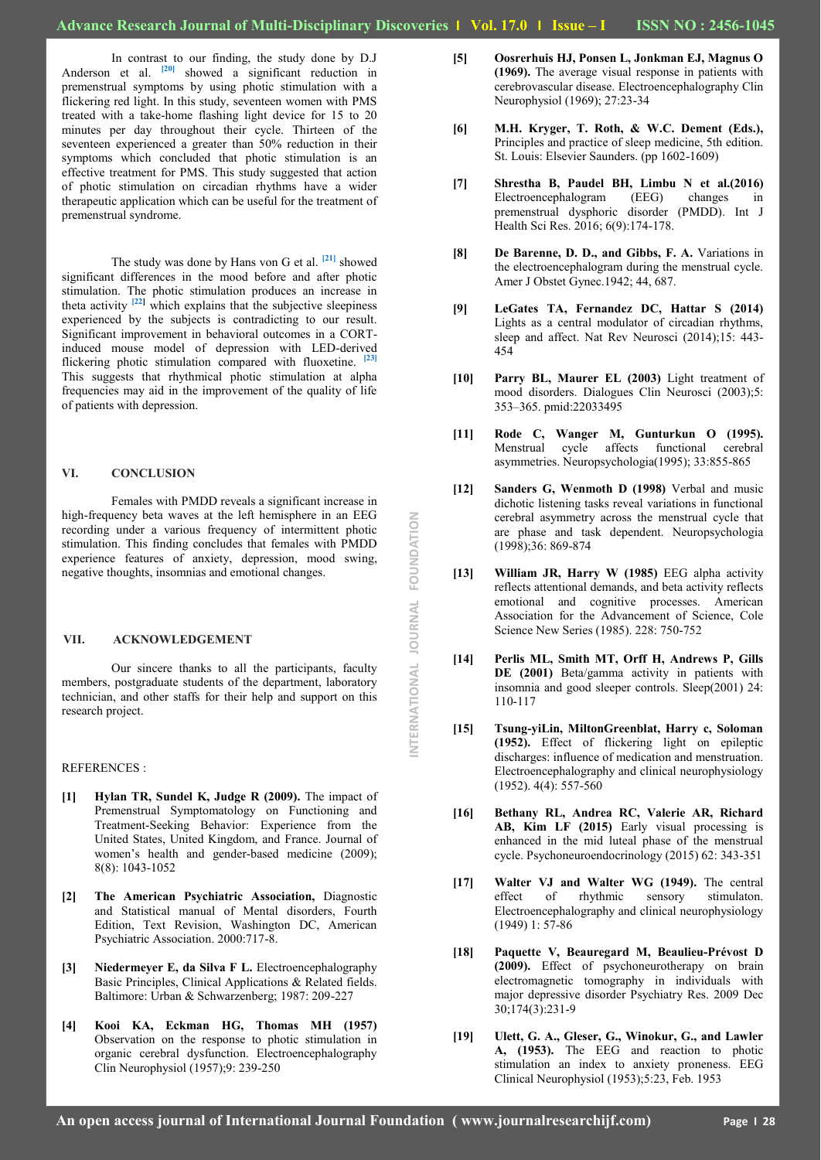In contrast to our finding, the study done by D.J Anderson et al. <sup>[20]</sup> showed a significant reduction in premenstrual symptoms by using photic stimulation with a flickering red light. In this study, seventeen women with PMS treated with a take-home flashing light device for 15 to 20 minutes per day throughout their cycle. Thirteen of the seventeen experienced a greater than 50% reduction in their symptoms which concluded that photic stimulation is an effective treatment for PMS. This study suggested that action of photic stimulation on circadian rhythms have a wider therapeutic application which can be useful for the treatment of premenstrual syndrome.

The study was done by Hans von G et al. **[21]** showed significant differences in the mood before and after photic stimulation. The photic stimulation produces an increase in theta activity <sup>[22]</sup> which explains that the subjective sleepiness experienced by the subjects is contradicting to our result. Significant improvement in behavioral outcomes in a CORTinduced mouse model of depression with LED-derived flickering photic stimulation compared with fluoxetine. **[23]** This suggests that rhythmical photic stimulation at alpha frequencies may aid in the improvement of the quality of life of patients with depression.

### **VI. CONCLUSION**

Females with PMDD reveals a significant increase in high-frequency beta waves at the left hemisphere in an EEG recording under a various frequency of intermittent photic stimulation. This finding concludes that females with PMDD experience features of anxiety, depression, mood swing, negative thoughts, insomnias and emotional changes.

#### **VII. ACKNOWLEDGEMENT**

Our sincere thanks to all the participants, faculty members, postgraduate students of the department, laboratory technician, and other staffs for their help and support on this research project.

#### REFERENCES :

- **[1] Hylan TR, Sundel K, Judge R (2009).** The impact of Premenstrual Symptomatology on Functioning and Treatment-Seeking Behavior: Experience from the United States, United Kingdom, and France. Journal of women's health and gender-based medicine (2009); 8(8): 1043-1052
- **[2] The American Psychiatric Association,** Diagnostic and Statistical manual of Mental disorders, Fourth Edition, Text Revision, Washington DC, American Psychiatric Association. 2000:717-8.
- **[3] Niedermeyer E, da Silva F L.** Electroencephalography Basic Principles, Clinical Applications & Related fields. Baltimore: Urban & Schwarzenberg; 1987: 209-227
- **[4] Kooi KA, Eckman HG, Thomas MH (1957)** Observation on the response to photic stimulation in organic cerebral dysfunction. Electroencephalography Clin Neurophysiol (1957);9: 239-250
- **[5] Oosrerhuis HJ, Ponsen L, Jonkman EJ, Magnus O (1969).** The average visual response in patients with cerebrovascular disease. Electroencephalography Clin Neurophysiol (1969); 27:23-34
- **[6] M.H. Kryger, T. Roth, & W.C. Dement (Eds.),** Principles and practice of sleep medicine, 5th edition. St. Louis: Elsevier Saunders. (pp 1602-1609)
- **[7] Shrestha B, Paudel BH, Limbu N et al.(2016)** Electroencephalogram (EEG) changes in premenstrual dysphoric disorder (PMDD). Int J Health Sci Res. 2016; 6(9):174-178.
- **[8] De Barenne, D. D., and Gibbs, F. A.** Variations in the electroencephalogram during the menstrual cycle. Amer J Obstet Gynec.1942; 44, 687.
- **[9] LeGates TA, Fernandez DC, Hattar S (2014)** Lights as a central modulator of circadian rhythms, sleep and affect. Nat Rev Neurosci (2014);15: 443- 454
- **[10] Parry BL, Maurer EL (2003)** Light treatment of mood disorders. Dialogues Clin Neurosci (2003);5: 353–365. pmid:22033495
- **[11] Rode C, Wanger M, Gunturkun O (1995).** Menstrual cycle affects functional cerebral asymmetries. Neuropsychologia(1995); 33:855-865
- **[12] Sanders G, Wenmoth D (1998)** Verbal and music dichotic listening tasks reveal variations in functional cerebral asymmetry across the menstrual cycle that are phase and task dependent. Neuropsychologia (1998);36: 869-874
- **[13] William JR, Harry W (1985)** EEG alpha activity reflects attentional demands, and beta activity reflects emotional and cognitive processes. American Association for the Advancement of Science, Cole Science New Series (1985). 228: 750-752
- **[14] Perlis ML, Smith MT, Orff H, Andrews P, Gills DE (2001)** Beta/gamma activity in patients with insomnia and good sleeper controls. Sleep(2001) 24: 110-117
- **[15] Tsung-yiLin, MiltonGreenblat, Harry c, Soloman (1952).** Effect of flickering light on epileptic discharges: influence of medication and menstruation. Electroencephalography and clinical neurophysiology (1952). 4(4): 557-560
- **[16] Bethany RL, Andrea RC, Valerie AR, Richard AB, Kim LF (2015)** Early visual processing is enhanced in the mid luteal phase of the menstrual cycle. Psychoneuroendocrinology (2015) 62: 343-351
- **[17] Walter VJ and Walter WG (1949).** The central effect of rhythmic sensory stimulaton. Electroencephalography and clinical neurophysiology (1949) 1: 57-86
- **[18] Paquette V, Beauregard M, Beaulieu-Prévost D (2009).** Effect of psychoneurotherapy on brain electromagnetic tomography in individuals with major depressive disorder Psychiatry Res. 2009 Dec 30;174(3):231-9
- **[19] Ulett, G. A., Gleser, G., Winokur, G., and Lawler A, (1953).** The EEG and reaction to photic stimulation an index to anxiety proneness. EEG Clinical Neurophysiol (1953);5:23, Feb. 1953

NTERNATIONAL JOURNAL FOUNDATION **INTERNATIONAL JOURNAL FOUNDATION**